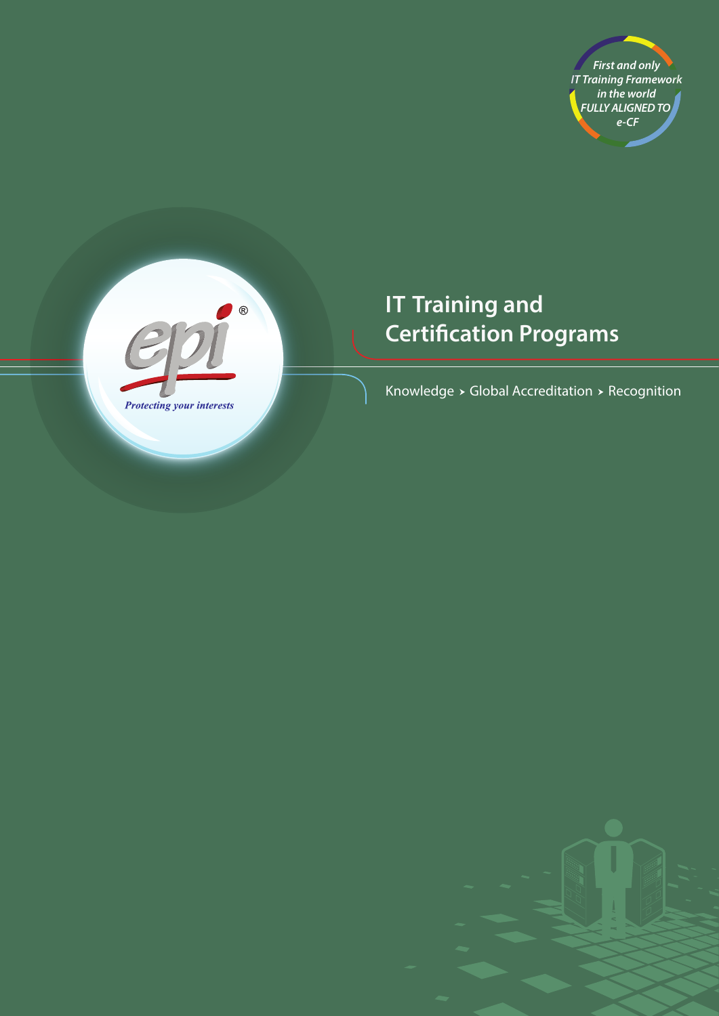



# **IT Training and Certification Programs**

Knowledge  $\times$  Global Accreditation  $\times$  Recognition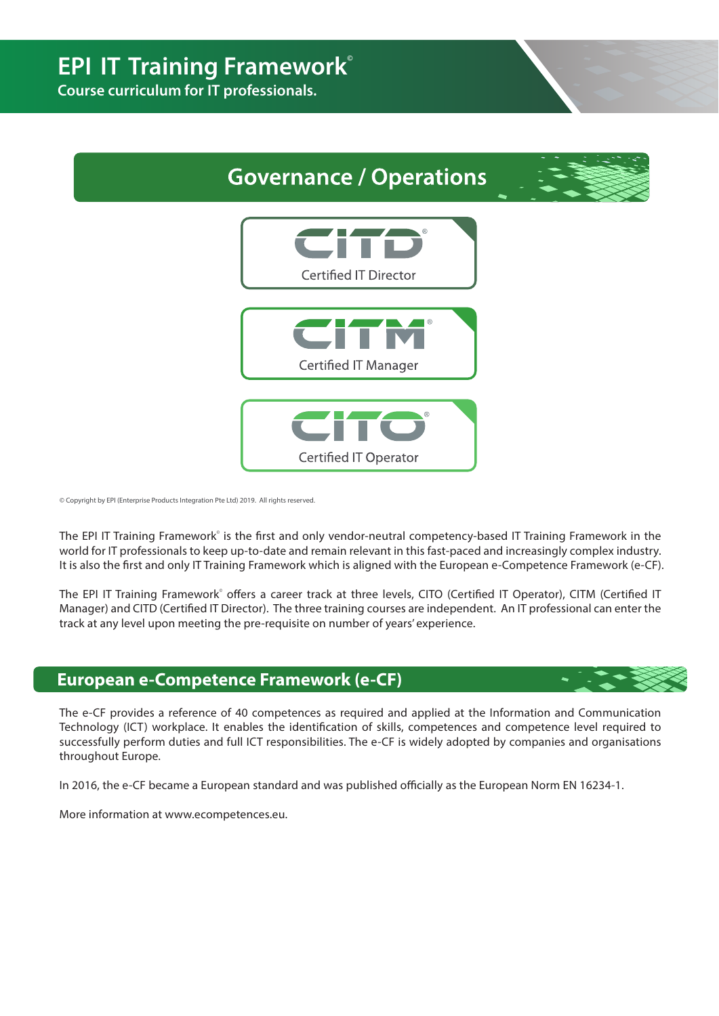**Course curriculum for IT professionals.** 



© Copyright by EPI (Enterprise Products Integration Pte Ltd) 2019. All rights reserved.

The EPI IT Training Framework<sup>°</sup> is the first and only vendor-neutral competency-based IT Training Framework in the world for IT professionals to keep up-to-date and remain relevant in this fast-paced and increasingly complex industry. It is also the first and only IT Training Framework which is aligned with the European e-Competence Framework (e-CF).

The EPI IT Training Framework° offers a career track at three levels, CITO (Certified IT Operator), CITM (Certified IT Manager) and CITD (Certified IT Director). The three training courses are independent. An IT professional can enter the track at any level upon meeting the pre-requisite on number of years' experience.

### **European e-Competence Framework (e-CF)**

The e-CF provides a reference of 40 competences as required and applied at the Information and Communication Technology (ICT) workplace. It enables the identification of skills, competences and competence level required to successfully perform duties and full ICT responsibilities. The e-CF is widely adopted by companies and organisations throughout Europe.

In 2016, the e-CF became a European standard and was published officially as the European Norm EN 16234-1.

More information at www.ecompetences.eu.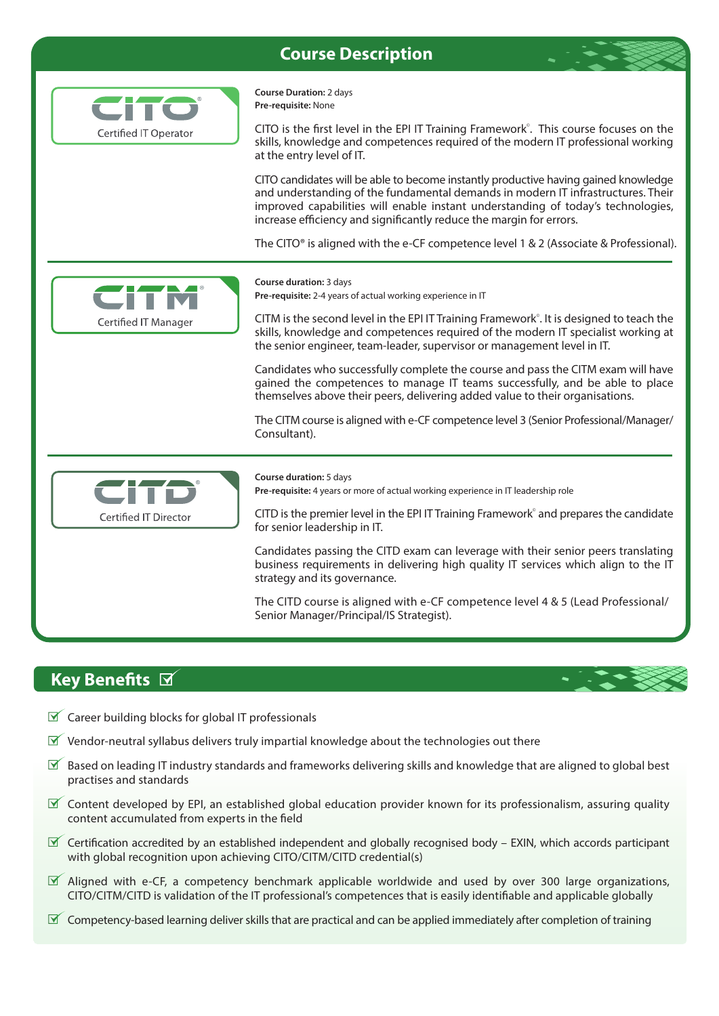## **Course Description**





## **Key Benefits**  $\boxtimes$

- $\mathbb X$  Career building blocks for global IT professionals
- $\mathbb Y$  Vendor-neutral syllabus delivers truly impartial knowledge about the technologies out there
- $\mathbb F$  Based on leading IT industry standards and frameworks delivering skills and knowledge that are aligned to global best practises and standards
- $\mathbb X$  Content developed by EPI, an established global education provider known for its professionalism, assuring quality content accumulated from experts in the field
- $\triangledown$  Certification accredited by an established independent and globally recognised body EXIN, which accords participant with global recognition upon achieving CITO/CITM/CITD credential(s)
- $\mathbb X$  Aligned with e-CF, a competency benchmark applicable worldwide and used by over 300 large organizations, CITO/CITM/CITD is validation of the IT professional's competences that is easily identiable and applicable globally
- $\mathbb Y$  Competency-based learning deliver skills that are practical and can be applied immediately after completion of training